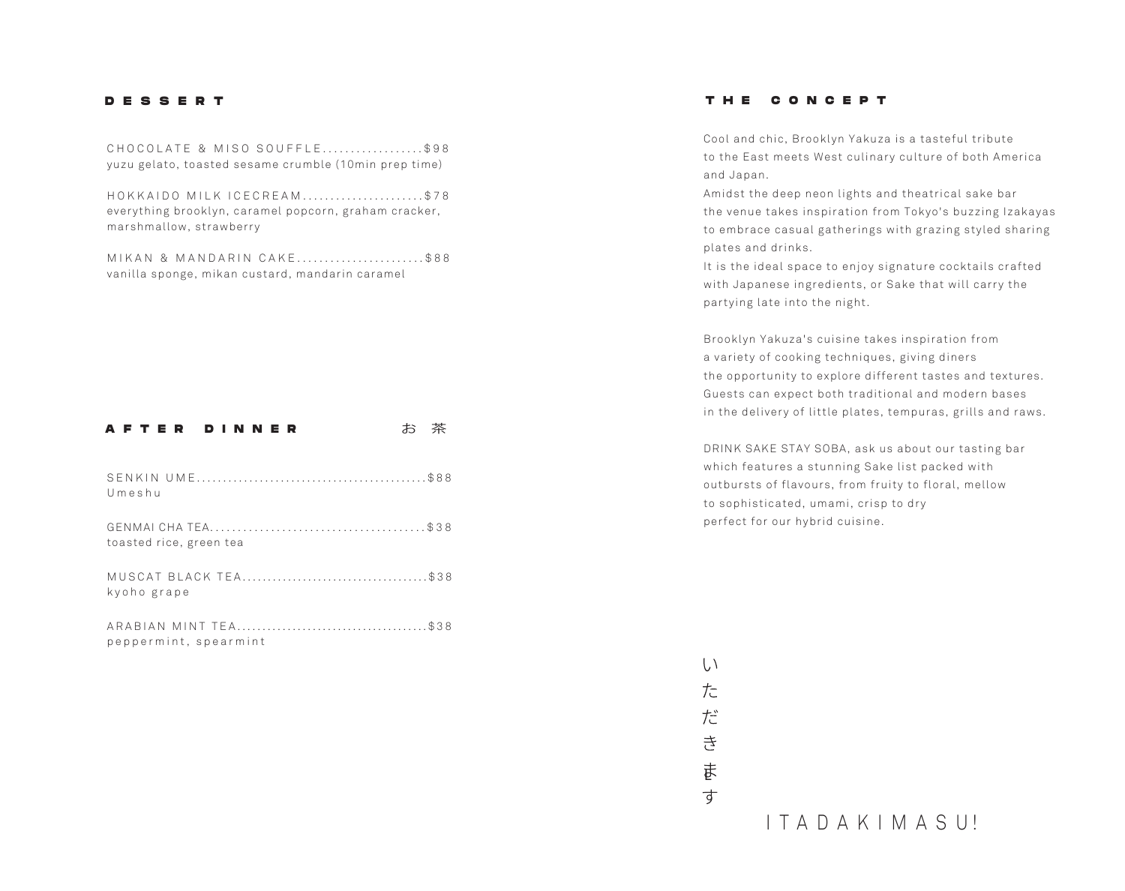#### **DESSERT**

CHOCOLATE & MISO SOUFFLE..................\$98 yuzu gelato, toasted sesame crumble (10min prep time)

HOKKAIDO MILK ICECREAM......................\$78 everything brooklyn, caramel popcorn, graham cracker, marshmallow, strawberry

MIKAN & MANDARIN CAKE........................\$88 vanilla sponge, mikan custard, mandarin caramel

## AFTER DINNER お茶

| Umeshu                  |  |
|-------------------------|--|
| toasted rice, green tea |  |
| kyoho grape             |  |
|                         |  |

peppermint, spearmint

### **THE CONCEPT**

Cool and chic, Brooklyn Yakuza is a tasteful tribute to the East meets West culinary culture of both America and Japan.

Amidst the deep neon lights and theatrical sake bar the venue takes inspiration from Tokyo's buzzing Izakayas to embrace casual gatherings with grazing styled sharing plates and drinks.

It is the ideal space to enjoy signature cocktails crafted with Japanese ingredients, or Sake that will carry the partying late into the night.

Brooklyn Yakuza's cuisine takes inspiration from a variety of cooking techniques, giving diners the opportunity to explore different tastes and textures.  Guests can expect both traditional and modern bases in the delivery of little plates, tempuras, grills and raws.

DRINK SAKE STAY SOBA, ask us about our tasting bar which features a stunning Sake list packed with outbursts of flavours, from fruity to floral, mellow to sophisticated, umami, crisp to dry perfect for our hybrid cuisine.

ま

 $\overrightarrow{d}$ 

 $\left\langle \right\rangle$  $\frac{1}{\sqrt{n}}$ 

だ 舌

I T A D A K I M A S U !